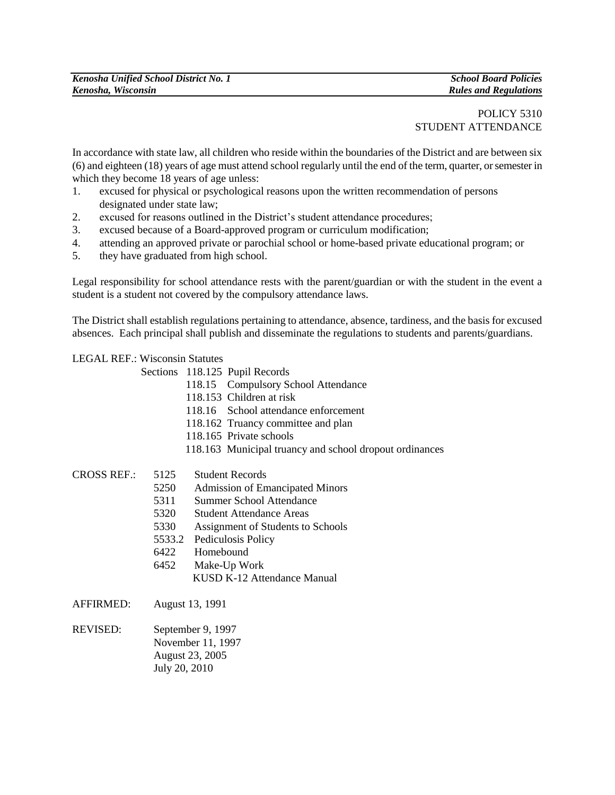# POLICY 5310 STUDENT ATTENDANCE

In accordance with state law, all children who reside within the boundaries of the District and are between six (6) and eighteen (18) years of age must attend school regularly until the end of the term, quarter, or semester in which they become 18 years of age unless:

- 1. excused for physical or psychological reasons upon the written recommendation of persons designated under state law;
- 2. excused for reasons outlined in the District's student attendance procedures;
- 3. excused because of a Board-approved program or curriculum modification;
- 4. attending an approved private or parochial school or home-based private educational program; or
- 5. they have graduated from high school.

Legal responsibility for school attendance rests with the parent/guardian or with the student in the event a student is a student not covered by the compulsory attendance laws.

The District shall establish regulations pertaining to attendance, absence, tardiness, and the basis for excused absences. Each principal shall publish and disseminate the regulations to students and parents/guardians.

#### LEGAL REF.: Wisconsin Statutes

Sections 118.125 Pupil Records

- 118.15 Compulsory School Attendance
- 118.153 Children at risk
- 118.16 School attendance enforcement
- 118.162 Truancy committee and plan
- 118.165 Private schools
- 118.163 Municipal truancy and school dropout ordinances

## CROSS REF.: 5125 Student Records

- 5250 Admission of Emancipated Minors
- 5311 Summer School Attendance
- 5320 Student Attendance Areas
- 5330 Assignment of Students to Schools
- 5533.2 Pediculosis Policy
- 6422 Homebound
- 6452 Make-Up Work
	- KUSD K-12 Attendance Manual
- AFFIRMED: August 13, 1991
- REVISED: September 9, 1997 November 11, 1997 August 23, 2005 July 20, 2010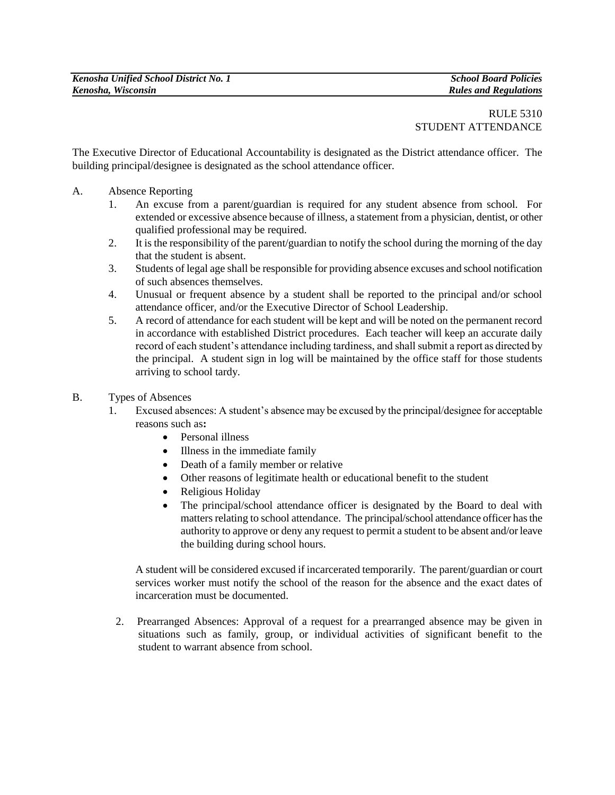# RULE 5310 STUDENT ATTENDANCE

The Executive Director of Educational Accountability is designated as the District attendance officer. The building principal/designee is designated as the school attendance officer.

- A. Absence Reporting
	- 1. An excuse from a parent/guardian is required for any student absence from school. For extended or excessive absence because of illness, a statement from a physician, dentist, or other qualified professional may be required.
	- 2. It is the responsibility of the parent/guardian to notify the school during the morning of the day that the student is absent.
	- 3. Students of legal age shall be responsible for providing absence excuses and school notification of such absences themselves.
	- 4. Unusual or frequent absence by a student shall be reported to the principal and/or school attendance officer, and/or the Executive Director of School Leadership.
	- 5. A record of attendance for each student will be kept and will be noted on the permanent record in accordance with established District procedures. Each teacher will keep an accurate daily record of each student"s attendance including tardiness, and shall submit a report as directed by the principal. A student sign in log will be maintained by the office staff for those students arriving to school tardy.
- B. Types of Absences
	- 1. Excused absences: A student"s absence may be excused by the principal/designee for acceptable reasons such as**:**
		- Personal illness
		- Illness in the immediate family
		- Death of a family member or relative
		- Other reasons of legitimate health or educational benefit to the student
		- Religious Holiday
		- The principal/school attendance officer is designated by the Board to deal with matters relating to school attendance. The principal/school attendance officer has the authority to approve or deny any request to permit a student to be absent and/or leave the building during school hours.

A student will be considered excused if incarcerated temporarily. The parent/guardian or court services worker must notify the school of the reason for the absence and the exact dates of incarceration must be documented.

2. Prearranged Absences: Approval of a request for a prearranged absence may be given in situations such as family, group, or individual activities of significant benefit to the student to warrant absence from school.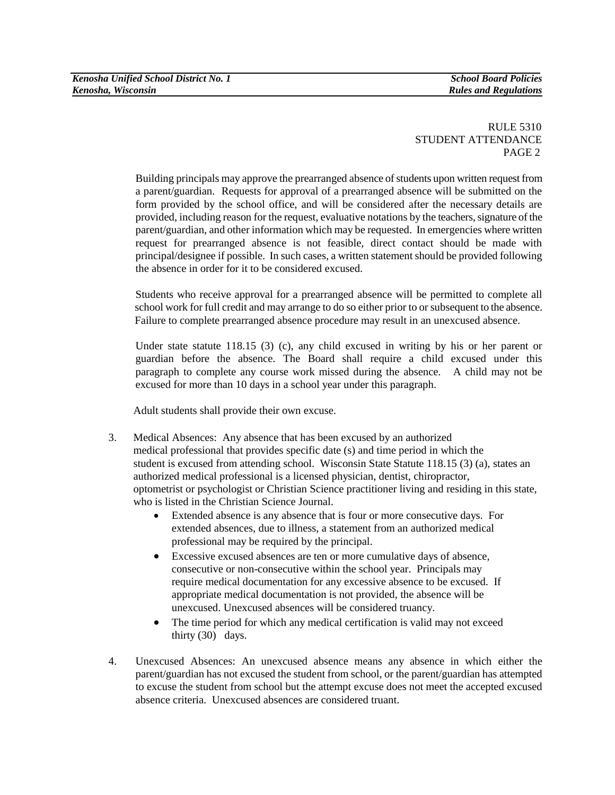Building principals may approve the prearranged absence of students upon written request from a parent/guardian. Requests for approval of a prearranged absence will be submitted on the form provided by the school office, and will be considered after the necessary details are provided, including reason for the request, evaluative notations by the teachers, signature of the parent/guardian, and other information which may be requested. In emergencies where written request for prearranged absence is not feasible, direct contact should be made with principal/designee if possible. In such cases, a written statement should be provided following the absence in order for it to be considered excused.

Students who receive approval for a prearranged absence will be permitted to complete all school work for full credit and may arrange to do so either prior to or subsequent to the absence. Failure to complete prearranged absence procedure may result in an unexcused absence.

Under state statute 118.15 (3) (c), any child excused in writing by his or her parent or guardian before the absence. The Board shall require a child excused under this paragraph to complete any course work missed during the absence. A child may not be excused for more than 10 days in a school year under this paragraph.

Adult students shall provide their own excuse.

- 3. Medical Absences: Any absence that has been excused by an authorized medical professional that provides specific date (s) and time period in which the student is excused from attending school. Wisconsin State Statute 118.15 (3) (a), states an authorized medical professional is a licensed physician, dentist, chiropractor, optometrist or psychologist or Christian Science practitioner living and residing in this state, who is listed in the Christian Science Journal.
	- Extended absence is any absence that is four or more consecutive days. For extended absences, due to illness, a statement from an authorized medical professional may be required by the principal.
	- Excessive excused absences are ten or more cumulative days of absence, consecutive or non-consecutive within the school year. Principals may require medical documentation for any excessive absence to be excused. If appropriate medical documentation is not provided, the absence will be unexcused. Unexcused absences will be considered truancy.
	- The time period for which any medical certification is valid may not exceed thirty (30) days.
- 4. Unexcused Absences: An unexcused absence means any absence in which either the parent/guardian has not excused the student from school, or the parent/guardian has attempted to excuse the student from school but the attempt excuse does not meet the accepted excused absence criteria. Unexcused absences are considered truant.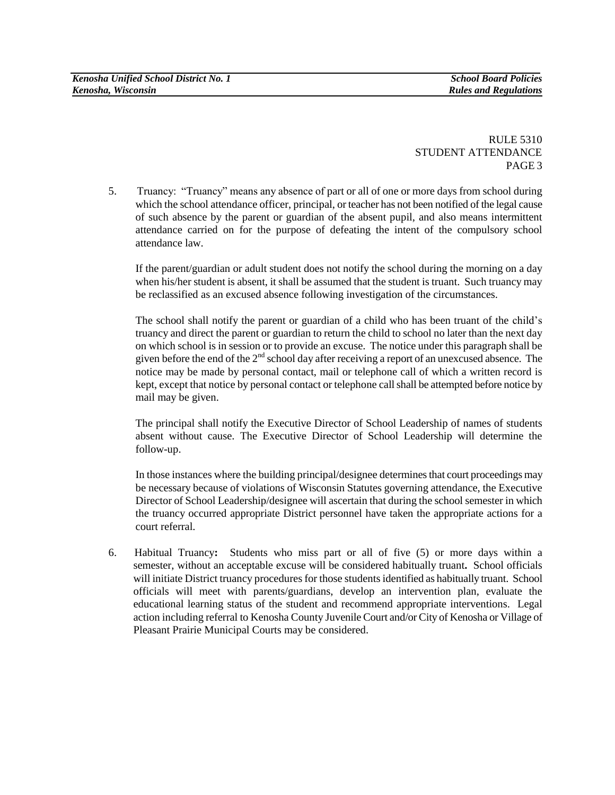5. Truancy: "Truancy" means any absence of part or all of one or more days from school during which the school attendance officer, principal, or teacher has not been notified of the legal cause of such absence by the parent or guardian of the absent pupil, and also means intermittent attendance carried on for the purpose of defeating the intent of the compulsory school attendance law.

If the parent/guardian or adult student does not notify the school during the morning on a day when his/her student is absent, it shall be assumed that the student is truant. Such truancy may be reclassified as an excused absence following investigation of the circumstances.

The school shall notify the parent or guardian of a child who has been truant of the child"s truancy and direct the parent or guardian to return the child to school no later than the next day on which school is in session or to provide an excuse. The notice under this paragraph shall be given before the end of the  $2<sup>nd</sup>$  school day after receiving a report of an unexcused absence. The notice may be made by personal contact, mail or telephone call of which a written record is kept, except that notice by personal contact or telephone call shall be attempted before notice by mail may be given.

The principal shall notify the Executive Director of School Leadership of names of students absent without cause. The Executive Director of School Leadership will determine the follow-up.

In those instances where the building principal/designee determines that court proceedings may be necessary because of violations of Wisconsin Statutes governing attendance, the Executive Director of School Leadership/designee will ascertain that during the school semester in which the truancy occurred appropriate District personnel have taken the appropriate actions for a court referral.

6. Habitual Truancy**:** Students who miss part or all of five (5) or more days within a semester, without an acceptable excuse will be considered habitually truant**.** School officials will initiate District truancy procedures for those students identified as habitually truant. School officials will meet with parents/guardians, develop an intervention plan, evaluate the educational learning status of the student and recommend appropriate interventions. Legal action including referral to Kenosha County Juvenile Court and/or City of Kenosha or Village of Pleasant Prairie Municipal Courts may be considered.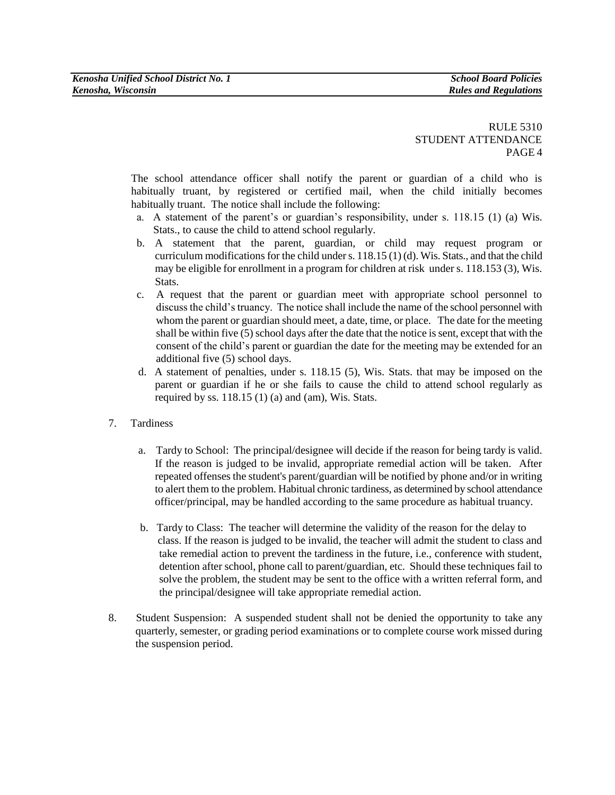The school attendance officer shall notify the parent or guardian of a child who is habitually truant, by registered or certified mail, when the child initially becomes habitually truant. The notice shall include the following:

- a. A statement of the parent"s or guardian"s responsibility, under s. 118.15 (1) (a) Wis. Stats., to cause the child to attend school regularly.
- b. A statement that the parent, guardian, or child may request program or curriculum modifications for the child under s. 118.15 (1) (d). Wis. Stats., and that the child may be eligible for enrollment in a program for children at risk under s. 118.153 (3), Wis. Stats.
- c. A request that the parent or guardian meet with appropriate school personnel to discuss the child"s truancy. The notice shall include the name of the school personnel with whom the parent or guardian should meet, a date, time, or place. The date for the meeting shall be within five (5) school days after the date that the notice is sent, except that with the consent of the child"s parent or guardian the date for the meeting may be extended for an additional five (5) school days.
- d. A statement of penalties, under s. 118.15 (5), Wis. Stats. that may be imposed on the parent or guardian if he or she fails to cause the child to attend school regularly as required by ss.  $118.15(1)(a)$  and  $(am)$ , Wis. Stats.
- 7. Tardiness
	- a. Tardy to School: The principal/designee will decide if the reason for being tardy is valid. If the reason is judged to be invalid, appropriate remedial action will be taken. After repeated offenses the student's parent/guardian will be notified by phone and/or in writing to alert them to the problem. Habitual chronic tardiness, as determined by school attendance officer/principal, may be handled according to the same procedure as habitual truancy.
	- b. Tardy to Class: The teacher will determine the validity of the reason for the delay to class. If the reason is judged to be invalid, the teacher will admit the student to class and take remedial action to prevent the tardiness in the future, i.e., conference with student, detention after school, phone call to parent/guardian, etc. Should these techniques fail to solve the problem, the student may be sent to the office with a written referral form, and the principal/designee will take appropriate remedial action.
- 8.Student Suspension: A suspended student shall not be denied the opportunity to take any quarterly, semester, or grading period examinations or to complete course work missed during the suspension period.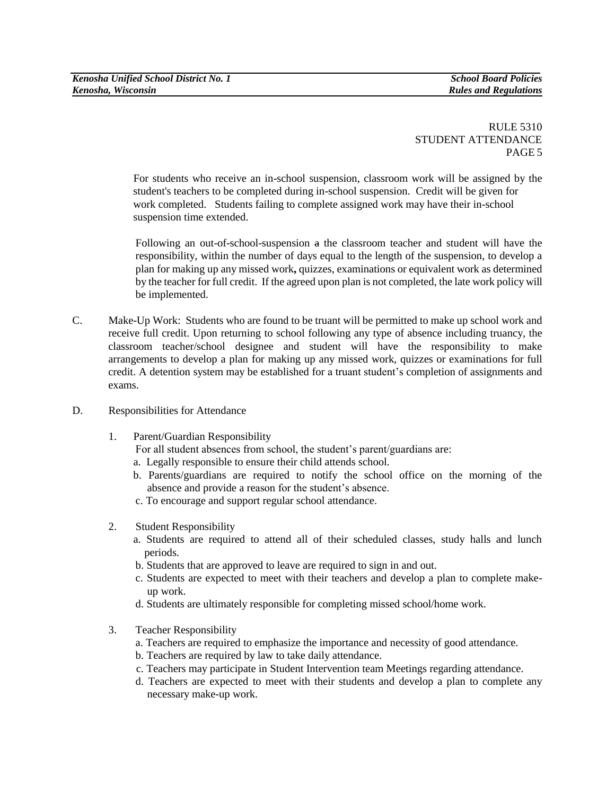For students who receive an in-school suspension, classroom work will be assigned by the student's teachers to be completed during in-school suspension. Credit will be given for work completed. Students failing to complete assigned work may have their in-school suspension time extended.

Following an out-of-school-suspension a the classroom teacher and student will have the responsibility, within the number of days equal to the length of the suspension, to develop a plan for making up any missed work**,** quizzes, examinations or equivalent work as determined by the teacher for full credit. If the agreed upon plan is not completed, the late work policy will be implemented.

- C. Make-Up Work: Students who are found to be truant will be permitted to make up school work and receive full credit. Upon returning to school following any type of absence including truancy, the classroom teacher/school designee and student will have the responsibility to make arrangements to develop a plan for making up any missed work, quizzes or examinations for full credit. A detention system may be established for a truant student"s completion of assignments and exams.
- D. Responsibilities for Attendance
	- 1. Parent/Guardian Responsibility

For all student absences from school, the student's parent/guardians are:

- a. Legally responsible to ensure their child attends school.
- b. Parents/guardians are required to notify the school office on the morning of the absence and provide a reason for the student"s absence.
- c. To encourage and support regular school attendance.
- 2. Student Responsibility
	- a. Students are required to attend all of their scheduled classes, study halls and lunch periods.
	- b. Students that are approved to leave are required to sign in and out.
	- c. Students are expected to meet with their teachers and develop a plan to complete make up work.
	- d. Students are ultimately responsible for completing missed school/home work.
- 3. Teacher Responsibility
	- a. Teachers are required to emphasize the importance and necessity of good attendance.
	- b. Teachers are required by law to take daily attendance.
	- c. Teachers may participate in Student Intervention team Meetings regarding attendance.
	- d. Teachers are expected to meet with their students and develop a plan to complete any necessary make-up work.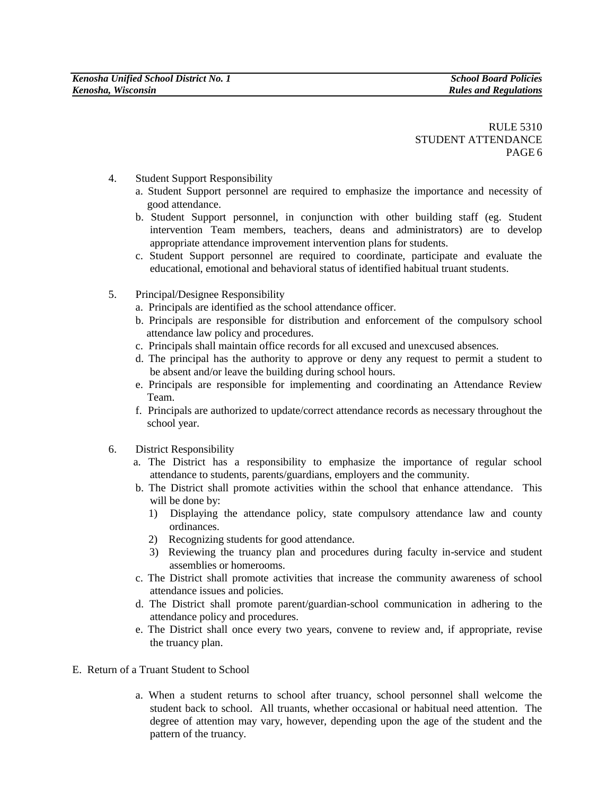- 4. Student Support Responsibility
	- a. Student Support personnel are required to emphasize the importance and necessity of good attendance.
	- b. Student Support personnel, in conjunction with other building staff (eg. Student intervention Team members, teachers, deans and administrators) are to develop appropriate attendance improvement intervention plans for students.
	- c. Student Support personnel are required to coordinate, participate and evaluate the educational, emotional and behavioral status of identified habitual truant students.
- 5. Principal/Designee Responsibility
	- a. Principals are identified as the school attendance officer.
	- b. Principals are responsible for distribution and enforcement of the compulsory school attendance law policy and procedures.
	- c. Principals shall maintain office records for all excused and unexcused absences.
	- d. The principal has the authority to approve or deny any request to permit a student to be absent and/or leave the building during school hours.
	- e. Principals are responsible for implementing and coordinating an Attendance Review Team.
	- f. Principals are authorized to update/correct attendance records as necessary throughout the school year.
- 6. District Responsibility
	- a. The District has a responsibility to emphasize the importance of regular school attendance to students, parents/guardians, employers and the community.
	- b. The District shall promote activities within the school that enhance attendance. This will be done by:
		- 1) Displaying the attendance policy, state compulsory attendance law and county ordinances.
		- 2) Recognizing students for good attendance.
		- 3) Reviewing the truancy plan and procedures during faculty in-service and student assemblies or homerooms.
	- c. The District shall promote activities that increase the community awareness of school attendance issues and policies.
	- d. The District shall promote parent/guardian-school communication in adhering to the attendance policy and procedures.
	- e. The District shall once every two years, convene to review and, if appropriate, revise the truancy plan.
- E. Return of a Truant Student to School
	- a. When a student returns to school after truancy, school personnel shall welcome the student back to school. All truants, whether occasional or habitual need attention. The degree of attention may vary, however, depending upon the age of the student and the pattern of the truancy.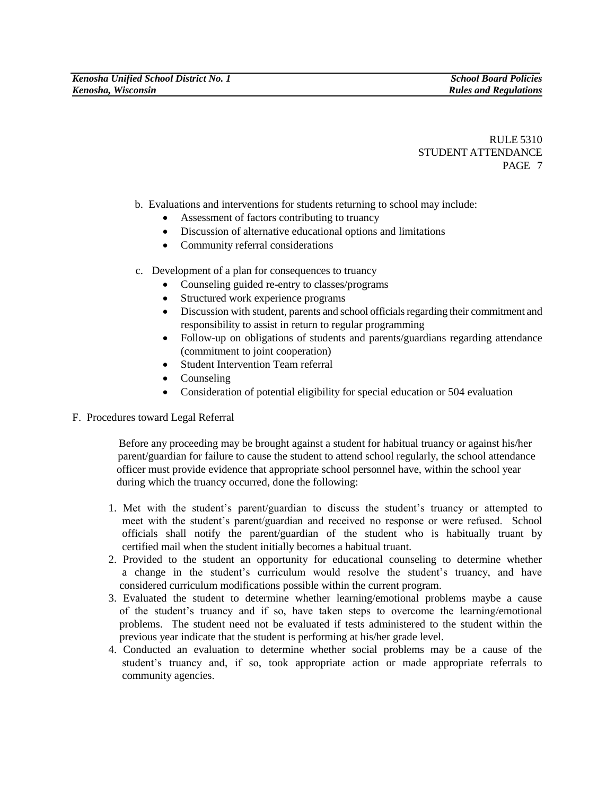- b. Evaluations and interventions for students returning to school may include:
	- Assessment of factors contributing to truancy
	- Discussion of alternative educational options and limitations
	- Community referral considerations
- c. Development of a plan for consequences to truancy
	- Counseling guided re-entry to classes/programs
	- Structured work experience programs
	- Discussion with student, parents and school officials regarding their commitment and responsibility to assist in return to regular programming
	- Follow-up on obligations of students and parents/guardians regarding attendance (commitment to joint cooperation)
	- Student Intervention Team referral
	- Counseling
	- Consideration of potential eligibility for special education or 504 evaluation
- F. Procedures toward Legal Referral

 Before any proceeding may be brought against a student for habitual truancy or against his/her parent/guardian for failure to cause the student to attend school regularly, the school attendance officer must provide evidence that appropriate school personnel have, within the school year during which the truancy occurred, done the following:

- 1. Met with the student"s parent/guardian to discuss the student"s truancy or attempted to meet with the student"s parent/guardian and received no response or were refused. School officials shall notify the parent/guardian of the student who is habitually truant by certified mail when the student initially becomes a habitual truant.
- 2. Provided to the student an opportunity for educational counseling to determine whether a change in the student"s curriculum would resolve the student"s truancy, and have considered curriculum modifications possible within the current program.
- 3. Evaluated the student to determine whether learning/emotional problems maybe a cause of the student"s truancy and if so, have taken steps to overcome the learning/emotional problems. The student need not be evaluated if tests administered to the student within the previous year indicate that the student is performing at his/her grade level.
- 4. Conducted an evaluation to determine whether social problems may be a cause of the student"s truancy and, if so, took appropriate action or made appropriate referrals to community agencies.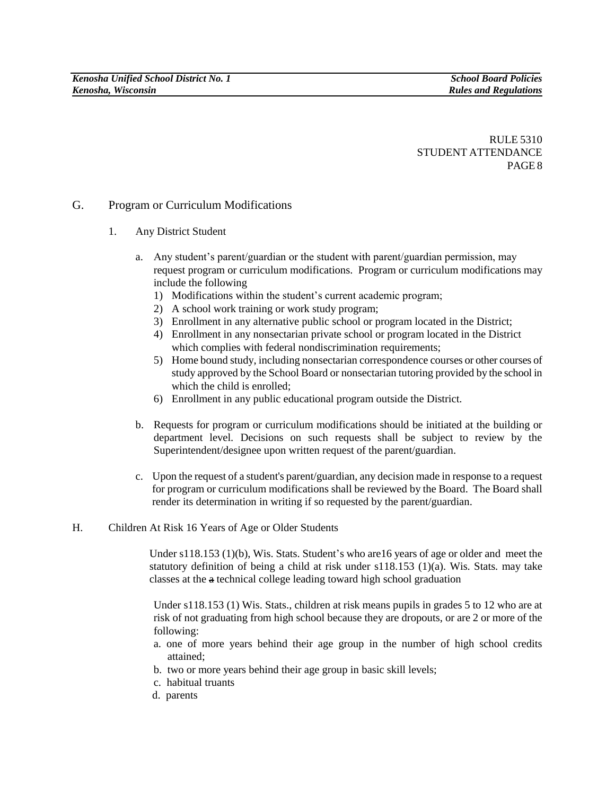## G. Program or Curriculum Modifications

- 1. Any District Student
	- a. Any student"s parent/guardian or the student with parent/guardian permission, may request program or curriculum modifications. Program or curriculum modifications may include the following
		- 1) Modifications within the student's current academic program;
		- 2) A school work training or work study program;
		- 3) Enrollment in any alternative public school or program located in the District;
		- 4) Enrollment in any nonsectarian private school or program located in the District which complies with federal nondiscrimination requirements;
		- 5) Home bound study, including nonsectarian correspondence courses or other courses of study approved by the School Board or nonsectarian tutoring provided by the school in which the child is enrolled;
		- 6) Enrollment in any public educational program outside the District.
	- b. Requests for program or curriculum modifications should be initiated at the building or department level. Decisions on such requests shall be subject to review by the Superintendent/designee upon written request of the parent/guardian.
	- c. Upon the request of a student's parent/guardian, any decision made in response to a request for program or curriculum modifications shall be reviewed by the Board. The Board shall render its determination in writing if so requested by the parent/guardian.
- H. Children At Risk 16 Years of Age or Older Students

Under s118.153 (1)(b), Wis. Stats. Student's who are 16 years of age or older and meet the statutory definition of being a child at risk under  $s118.153$  (1)(a). Wis. Stats. may take classes at the a technical college leading toward high school graduation

Under s118.153 (1) Wis. Stats., children at risk means pupils in grades 5 to 12 who are at risk of not graduating from high school because they are dropouts, or are 2 or more of the following:

- a. one of more years behind their age group in the number of high school credits attained;
- b. two or more years behind their age group in basic skill levels;
- c. habitual truants
- d. parents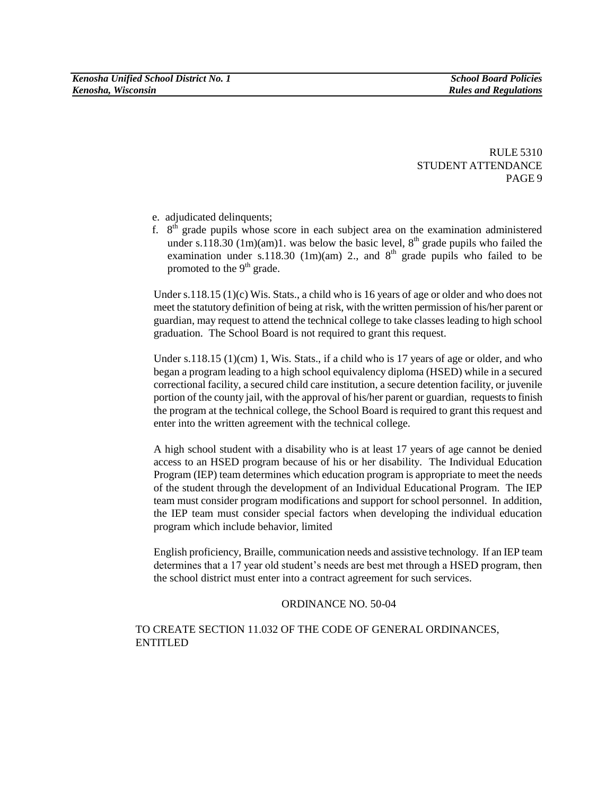- e. adjudicated delinquents;
- f.  $8<sup>th</sup>$  grade pupils whose score in each subject area on the examination administered under s.118.30 (1m)(am)1. was below the basic level,  $8<sup>th</sup>$  grade pupils who failed the examination under s.118.30 (1m)(am) 2., and  $8<sup>th</sup>$  grade pupils who failed to be promoted to the  $9<sup>th</sup>$  grade.

Under s.118.15  $(1)(c)$  Wis. Stats., a child who is 16 years of age or older and who does not meet the statutory definition of being at risk, with the written permission of his/her parent or guardian, may request to attend the technical college to take classes leading to high school graduation. The School Board is not required to grant this request.

Under s.118.15  $(1)(cm)$  1, Wis. Stats., if a child who is 17 years of age or older, and who began a program leading to a high school equivalency diploma (HSED) while in a secured correctional facility, a secured child care institution, a secure detention facility, or juvenile portion of the county jail, with the approval of his/her parent or guardian, requests to finish the program at the technical college, the School Board is required to grant this request and enter into the written agreement with the technical college.

A high school student with a disability who is at least 17 years of age cannot be denied access to an HSED program because of his or her disability. The Individual Education Program (IEP) team determines which education program is appropriate to meet the needs of the student through the development of an Individual Educational Program. The IEP team must consider program modifications and support for school personnel. In addition, the IEP team must consider special factors when developing the individual education program which include behavior, limited

English proficiency, Braille, communication needs and assistive technology. If an IEP team determines that a 17 year old student's needs are best met through a HSED program, then the school district must enter into a contract agreement for such services.

#### ORDINANCE NO. 50-04

### TO CREATE SECTION 11.032 OF THE CODE OF GENERAL ORDINANCES, ENTITLED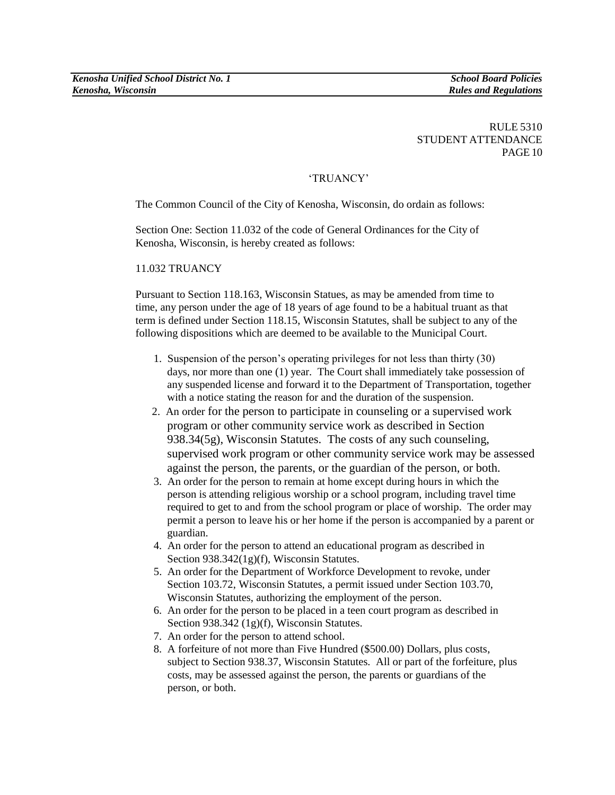## "TRUANCY"

The Common Council of the City of Kenosha, Wisconsin, do ordain as follows:

Section One: Section 11.032 of the code of General Ordinances for the City of Kenosha, Wisconsin, is hereby created as follows:

## 11.032 TRUANCY

Pursuant to Section 118.163, Wisconsin Statues, as may be amended from time to time, any person under the age of 18 years of age found to be a habitual truant as that term is defined under Section 118.15, Wisconsin Statutes, shall be subject to any of the following dispositions which are deemed to be available to the Municipal Court.

- 1. Suspension of the person"s operating privileges for not less than thirty (30) days, nor more than one (1) year. The Court shall immediately take possession of any suspended license and forward it to the Department of Transportation, together with a notice stating the reason for and the duration of the suspension.
- 2. An order for the person to participate in counseling or a supervised work program or other community service work as described in Section 938.34(5g), Wisconsin Statutes. The costs of any such counseling, supervised work program or other community service work may be assessed against the person, the parents, or the guardian of the person, or both.
- 3. An order for the person to remain at home except during hours in which the person is attending religious worship or a school program, including travel time required to get to and from the school program or place of worship. The order may permit a person to leave his or her home if the person is accompanied by a parent or guardian.
- 4. An order for the person to attend an educational program as described in Section 938.342(1g)(f), Wisconsin Statutes.
- 5. An order for the Department of Workforce Development to revoke, under Section 103.72, Wisconsin Statutes, a permit issued under Section 103.70, Wisconsin Statutes, authorizing the employment of the person.
- 6. An order for the person to be placed in a teen court program as described in Section 938.342 (1g)(f), Wisconsin Statutes.
- 7. An order for the person to attend school.
- 8. A forfeiture of not more than Five Hundred (\$500.00) Dollars, plus costs, subject to Section 938.37, Wisconsin Statutes. All or part of the forfeiture, plus costs, may be assessed against the person, the parents or guardians of the person, or both.